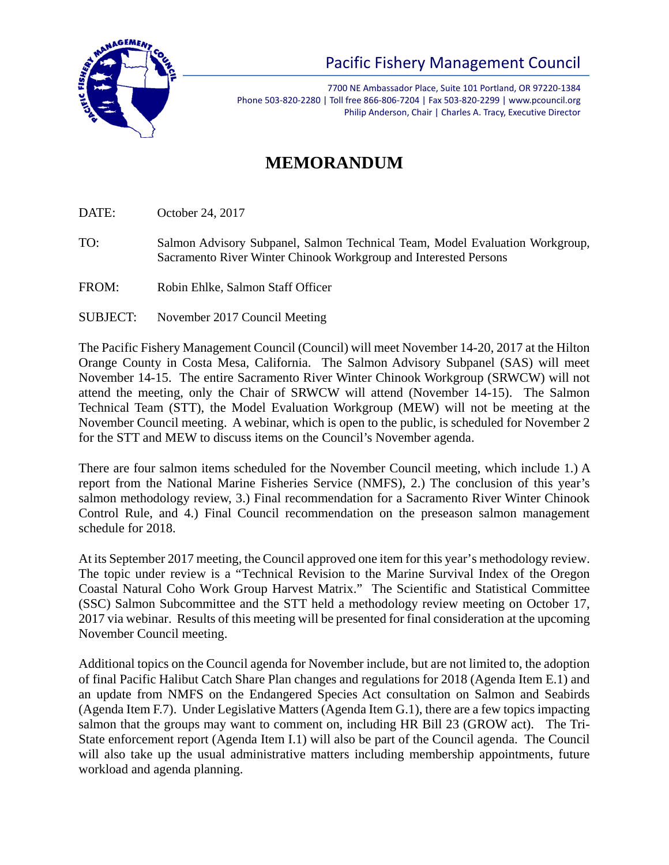

Pacific Fishery Management Council

7700 NE Ambassador Place, Suite 101 Portland, OR 97220-1384 Phone 503-820-2280 | Toll free 866-806-7204 | Fax 503-820-2299 | www.pcouncil.org Philip Anderson, Chair | Charles A. Tracy, Executive Director

## **MEMORANDUM**

DATE: October 24, 2017

TO: Salmon Advisory Subpanel, Salmon Technical Team, Model Evaluation Workgroup, Sacramento River Winter Chinook Workgroup and Interested Persons

- FROM: Robin Ehlke, Salmon Staff Officer
- SUBJECT: November 2017 Council Meeting

The Pacific Fishery Management Council (Council) will meet November 14-20, 2017 at the Hilton Orange County in Costa Mesa, California. The Salmon Advisory Subpanel (SAS) will meet November 14-15. The entire Sacramento River Winter Chinook Workgroup (SRWCW) will not attend the meeting, only the Chair of SRWCW will attend (November 14-15). The Salmon Technical Team (STT), the Model Evaluation Workgroup (MEW) will not be meeting at the November Council meeting. A webinar, which is open to the public, is scheduled for November 2 for the STT and MEW to discuss items on the Council's November agenda.

There are four salmon items scheduled for the November Council meeting, which include 1.) A report from the National Marine Fisheries Service (NMFS), 2.) The conclusion of this year's salmon methodology review, 3.) Final recommendation for a Sacramento River Winter Chinook Control Rule, and 4.) Final Council recommendation on the preseason salmon management schedule for 2018.

At its September 2017 meeting, the Council approved one item for this year's methodology review. The topic under review is a "Technical Revision to the Marine Survival Index of the Oregon Coastal Natural Coho Work Group Harvest Matrix." The Scientific and Statistical Committee (SSC) Salmon Subcommittee and the STT held a methodology review meeting on October 17, 2017 via webinar. Results of this meeting will be presented for final consideration at the upcoming November Council meeting.

Additional topics on the Council agenda for November include, but are not limited to, the adoption of final Pacific Halibut Catch Share Plan changes and regulations for 2018 (Agenda Item E.1) and an update from NMFS on the Endangered Species Act consultation on Salmon and Seabirds (Agenda Item F.7). Under Legislative Matters (Agenda Item G.1), there are a few topics impacting salmon that the groups may want to comment on, including HR Bill 23 (GROW act). The Tri-State enforcement report (Agenda Item I.1) will also be part of the Council agenda. The Council will also take up the usual administrative matters including membership appointments, future workload and agenda planning.